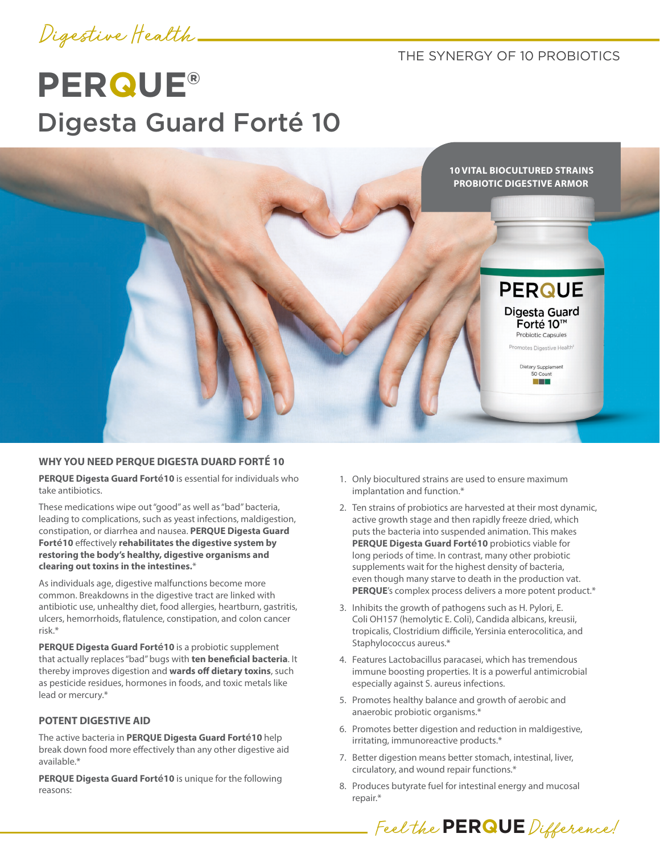

THE SYNERGY OF 10 PROBIOTICS

# **PERQUE®** Digesta Guard Forté 10



## **WHY YOU NEED PERQUE DIGESTA DUARD FORTÉ 10**

**PERQUE Digesta Guard Fort**é**10** is essential for individuals who take antibiotics.

These medications wipe out "good" as well as "bad" bacteria, leading to complications, such as yeast infections, maldigestion, constipation, or diarrhea and nausea. **PERQUE Digesta Guard Fort**é**10** effectively **rehabilitates the digestive system by restoring the body's healthy, digestive organisms and clearing out toxins in the intestines.**\*

As individuals age, digestive malfunctions become more common. Breakdowns in the digestive tract are linked with antibiotic use, unhealthy diet, food allergies, heartburn, gastritis, ulcers, hemorrhoids, flatulence, constipation, and colon cancer risk.\*

**PERQUE Digesta Guard Fort**é**10** is a probiotic supplement that actually replaces "bad" bugs with **ten beneficial bacteria**. It thereby improves digestion and **wards off dietary toxins**, such as pesticide residues, hormones in foods, and toxic metals like lead or mercury.\*

#### **POTENT DIGESTIVE AID**

The active bacteria in **PERQUE Digesta Guard Fort**é**10** help break down food more effectively than any other digestive aid available.\*

**PERQUE Digesta Guard Fort**é**10** is unique for the following reasons:

- 1. Only biocultured strains are used to ensure maximum implantation and function.\*
- 2. Ten strains of probiotics are harvested at their most dynamic, active growth stage and then rapidly freeze dried, which puts the bacteria into suspended animation. This makes **PERQUE Digesta Guard Fort**é**10** probiotics viable for long periods of time. In contrast, many other probiotic supplements wait for the highest density of bacteria, even though many starve to death in the production vat. **PERQUE**'s complex process delivers a more potent product.\*
- 3. Inhibits the growth of pathogens such as H. Pylori, E. Coli OH157 (hemolytic E. Coli), Candida albicans, kreusii, tropicalis, Clostridium difficile, Yersinia enterocolitica, and Staphylococcus aureus.\*
- 4. Features Lactobacillus paracasei, which has tremendous immune boosting properties. It is a powerful antimicrobial especially against S. aureus infections.
- 5. Promotes healthy balance and growth of aerobic and anaerobic probiotic organisms.\*
- 6. Promotes better digestion and reduction in maldigestive, irritating, immunoreactive products.\*
- 7. Better digestion means better stomach, intestinal, liver, circulatory, and wound repair functions.\*
- 8. Produces butyrate fuel for intestinal energy and mucosal repair.\*